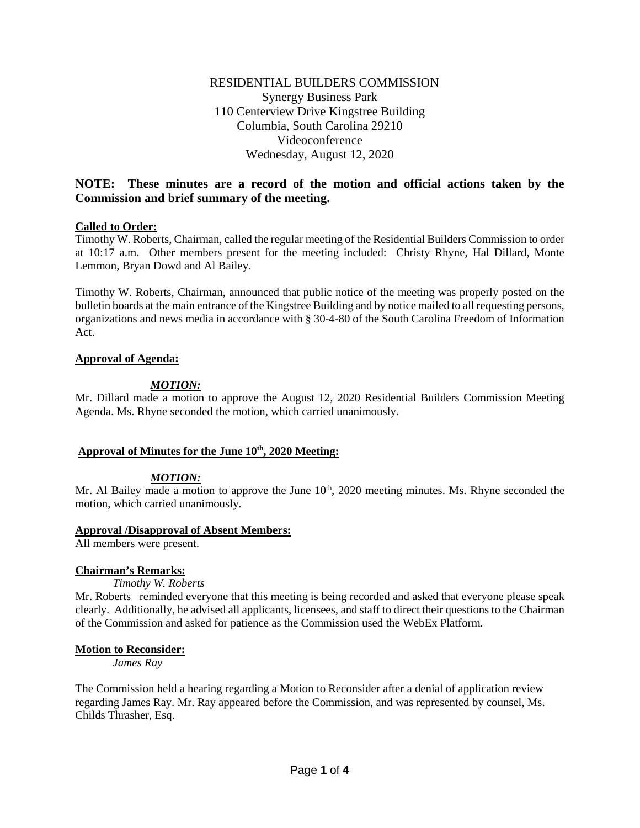# RESIDENTIAL BUILDERS COMMISSION Synergy Business Park 110 Centerview Drive Kingstree Building Columbia, South Carolina 29210 Videoconference Wednesday, August 12, 2020

# **NOTE: These minutes are a record of the motion and official actions taken by the Commission and brief summary of the meeting.**

# **Called to Order:**

Timothy W. Roberts, Chairman, called the regular meeting of the Residential Builders Commission to order at 10:17 a.m. Other members present for the meeting included: Christy Rhyne, Hal Dillard, Monte Lemmon, Bryan Dowd and Al Bailey.

Timothy W. Roberts, Chairman, announced that public notice of the meeting was properly posted on the bulletin boards at the main entrance of the Kingstree Building and by notice mailed to all requesting persons, organizations and news media in accordance with § 30-4-80 of the South Carolina Freedom of Information Act.

# **Approval of Agenda:**

# *MOTION:*

Mr. Dillard made a motion to approve the August 12, 2020 Residential Builders Commission Meeting Agenda. Ms. Rhyne seconded the motion, which carried unanimously.

# Approval of Minutes for the June  $10^{th}$ , 2020 Meeting:

# *MOTION:*

Mr. Al Bailey made a motion to approve the June  $10<sup>th</sup>$ , 2020 meeting minutes. Ms. Rhyne seconded the motion, which carried unanimously.

## **Approval /Disapproval of Absent Members:**

All members were present.

## **Chairman's Remarks:**

*Timothy W. Roberts*

Mr. Roberts reminded everyone that this meeting is being recorded and asked that everyone please speak clearly. Additionally, he advised all applicants, licensees, and staff to direct their questions to the Chairman of the Commission and asked for patience as the Commission used the WebEx Platform.

## **Motion to Reconsider:**

*James Ray* 

The Commission held a hearing regarding a Motion to Reconsider after a denial of application review regarding James Ray. Mr. Ray appeared before the Commission, and was represented by counsel, Ms. Childs Thrasher, Esq.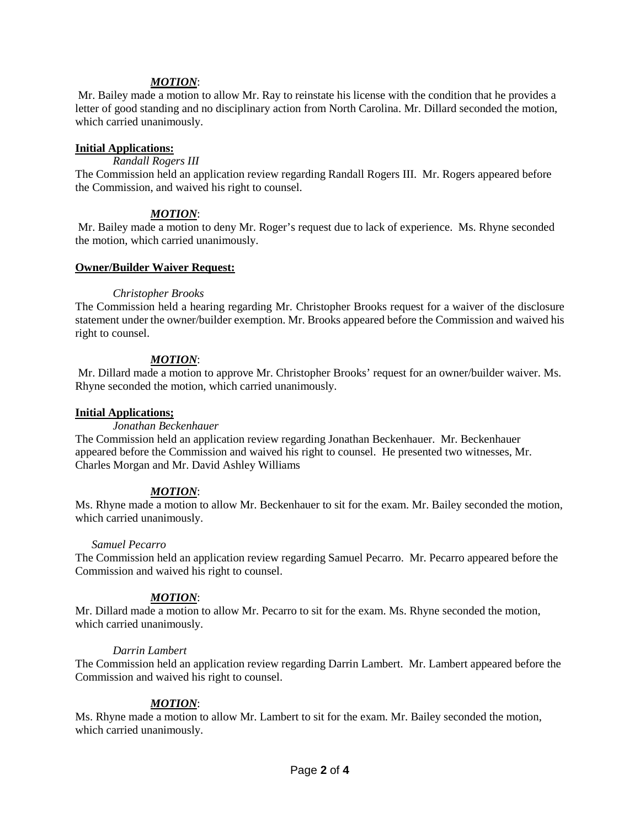## *MOTION*:

Mr. Bailey made a motion to allow Mr. Ray to reinstate his license with the condition that he provides a letter of good standing and no disciplinary action from North Carolina. Mr. Dillard seconded the motion, which carried unanimously.

## **Initial Applications:**

# *Randall Rogers III*

The Commission held an application review regarding Randall Rogers III. Mr. Rogers appeared before the Commission, and waived his right to counsel.

# *MOTION*:

Mr. Bailey made a motion to deny Mr. Roger's request due to lack of experience. Ms. Rhyne seconded the motion, which carried unanimously.

# **Owner/Builder Waiver Request:**

# *Christopher Brooks*

The Commission held a hearing regarding Mr. Christopher Brooks request for a waiver of the disclosure statement under the owner/builder exemption. Mr. Brooks appeared before the Commission and waived his right to counsel.

# *MOTION*:

Mr. Dillard made a motion to approve Mr. Christopher Brooks' request for an owner/builder waiver. Ms. Rhyne seconded the motion, which carried unanimously.

## **Initial Applications;**

## *Jonathan Beckenhauer*

The Commission held an application review regarding Jonathan Beckenhauer. Mr. Beckenhauer appeared before the Commission and waived his right to counsel. He presented two witnesses, Mr. Charles Morgan and Mr. David Ashley Williams

# *MOTION*:

Ms. Rhyne made a motion to allow Mr. Beckenhauer to sit for the exam. Mr. Bailey seconded the motion, which carried unanimously.

## *Samuel Pecarro*

The Commission held an application review regarding Samuel Pecarro. Mr. Pecarro appeared before the Commission and waived his right to counsel.

# *MOTION*:

Mr. Dillard made a motion to allow Mr. Pecarro to sit for the exam. Ms. Rhyne seconded the motion, which carried unanimously.

## *Darrin Lambert*

The Commission held an application review regarding Darrin Lambert. Mr. Lambert appeared before the Commission and waived his right to counsel.

## *MOTION*:

Ms. Rhyne made a motion to allow Mr. Lambert to sit for the exam. Mr. Bailey seconded the motion, which carried unanimously.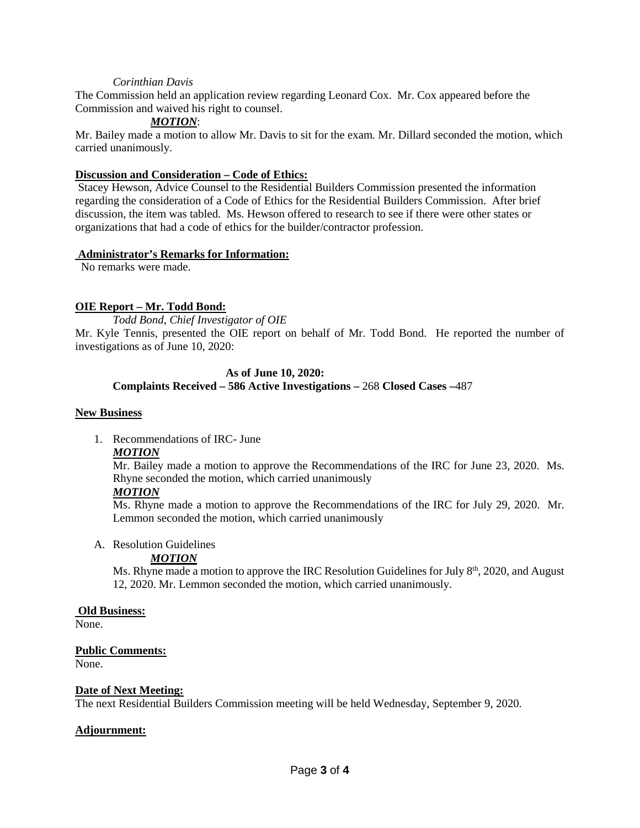#### *Corinthian Davis*

The Commission held an application review regarding Leonard Cox. Mr. Cox appeared before the Commission and waived his right to counsel.

# *MOTION*:

Mr. Bailey made a motion to allow Mr. Davis to sit for the exam. Mr. Dillard seconded the motion, which carried unanimously.

#### **Discussion and Consideration – Code of Ethics:**

Stacey Hewson, Advice Counsel to the Residential Builders Commission presented the information regarding the consideration of a Code of Ethics for the Residential Builders Commission. After brief discussion, the item was tabled. Ms. Hewson offered to research to see if there were other states or organizations that had a code of ethics for the builder/contractor profession.

#### **Administrator's Remarks for Information:**

No remarks were made.

# **OIE Report – Mr. Todd Bond:**

*Todd Bond, Chief Investigator of OIE*

Mr. Kyle Tennis, presented the OIE report on behalf of Mr. Todd Bond. He reported the number of investigations as of June 10, 2020:

## **As of June 10, 2020: Complaints Received – 586 Active Investigations –** 268 **Closed Cases –**487

#### **New Business**

1. Recommendations of IRC- June

## *MOTION*

Mr. Bailey made a motion to approve the Recommendations of the IRC for June 23, 2020. Ms. Rhyne seconded the motion, which carried unanimously

## *MOTION*

Ms. Rhyne made a motion to approve the Recommendations of the IRC for July 29, 2020. Mr. Lemmon seconded the motion, which carried unanimously

#### A. Resolution Guidelines

## *MOTION*

Ms. Rhyne made a motion to approve the IRC Resolution Guidelines for July  $8<sup>th</sup>$ , 2020, and August 12, 2020. Mr. Lemmon seconded the motion, which carried unanimously.

## **Old Business:**

None.

## **Public Comments:**

None.

## **Date of Next Meeting:**

The next Residential Builders Commission meeting will be held Wednesday, September 9, 2020.

## **Adjournment:**